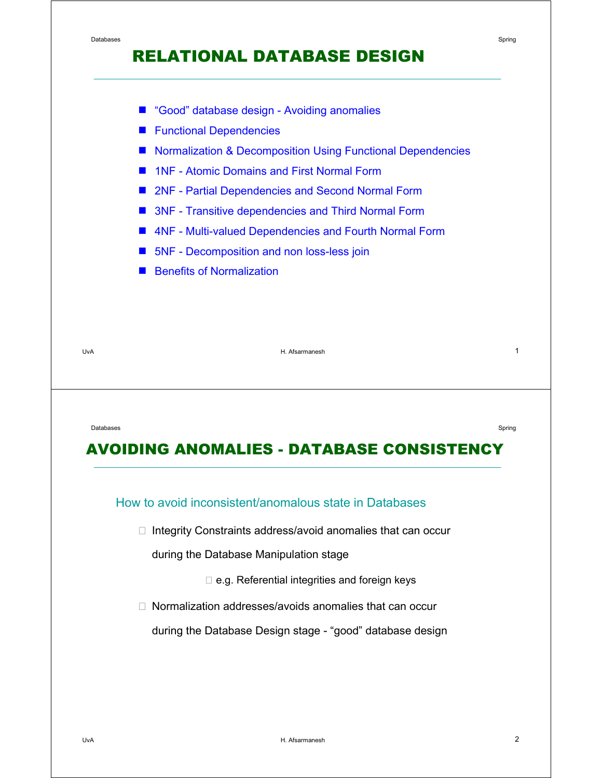## RELATIONAL DATABASE DESIGN



- **Functional Dependencies**
- **E** Normalization & Decomposition Using Functional Dependencies
- 1NF Atomic Domains and First Normal Form
- 2NF Partial Dependencies and Second Normal Form
- 3NF Transitive dependencies and Third Normal Form
- **4NF Multi-valued Dependencies and Fourth Normal Form**
- 5NF Decomposition and non loss-less join
- Benefits of Normalization

UvA H. Afsarmanesh 1

Databases Spring in the contract of the contract of the contract of the contract of the contract of the contract of the contract of the contract of the contract of the contract of the contract of the contract of the contra

## AVOIDING ANOMALIES - DATABASE CONSISTENCY

#### How to avoid inconsistent/anomalous state in Databases

/ Integrity Constraints address/avoid anomalies that can occur

during the Database Manipulation stage

- / e.g. Referential integrities and foreign keys
- / Normalization addresses/avoids anomalies that can occur

during the Database Design stage - "good" database design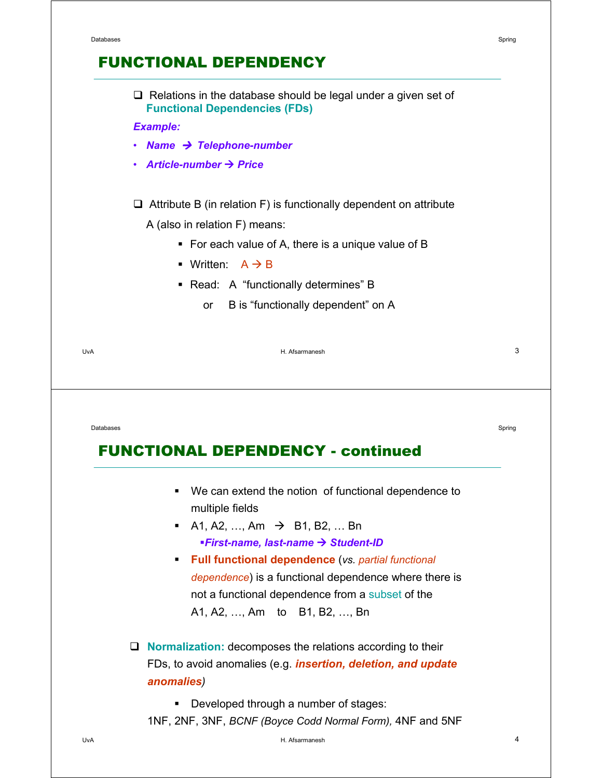| <b>Example:</b> | <b>Functional Dependencies (FDs)</b>                                                      |        |
|-----------------|-------------------------------------------------------------------------------------------|--------|
| ٠               | Name $\rightarrow$ Telephone-number                                                       |        |
| ٠               | Article-number $\rightarrow$ Price                                                        |        |
|                 | $\Box$ Attribute B (in relation F) is functionally dependent on attribute                 |        |
|                 | A (also in relation F) means:                                                             |        |
|                 | • For each value of A, there is a unique value of B                                       |        |
|                 | • Written: $A \rightarrow B$                                                              |        |
|                 | • Read: A "functionally determines" B                                                     |        |
|                 | B is "functionally dependent" on A<br>or                                                  |        |
|                 | H. Afsarmanesh                                                                            | 3      |
| UvA             |                                                                                           |        |
| Databases       |                                                                                           | Spring |
|                 | <b>FUNCTIONAL DEPENDENCY - continued</b>                                                  |        |
|                 | We can extend the notion of functional dependence to<br>$\blacksquare$<br>multiple fields |        |

 **Full functional dependence** (*vs. partial functional dependence*) is a functional dependence where there is not a functional dependence from a subset of the A1, A2, …, Am to B1, B2, …, Bn

 **Normalization:** decomposes the relations according to their FDs, to avoid anomalies (e.g. *insertion, deletion, and update anomalies)*

**•** Developed through a number of stages:

1NF, 2NF, 3NF, *BCNF (Boyce Codd Normal Form),* 4NF and 5NF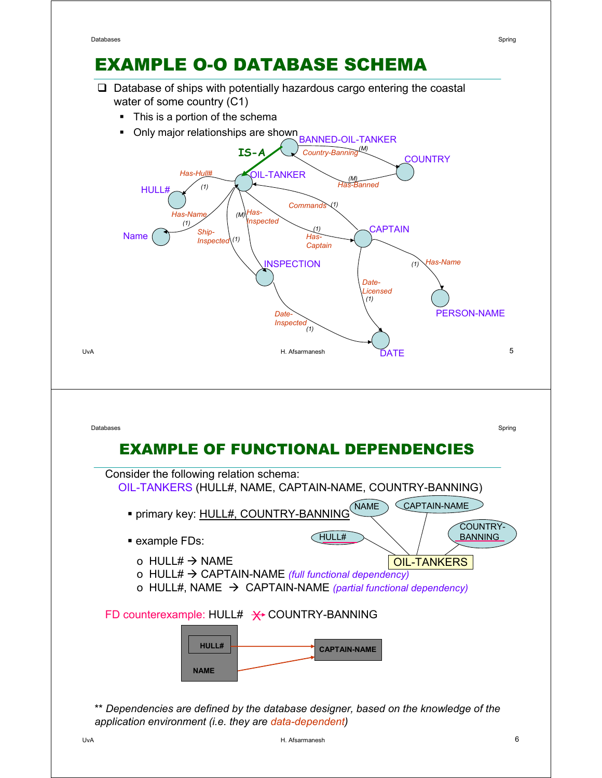# EXAMPLE O-O DATABASE SCHEMA

- $\Box$  Database of ships with potentially hazardous cargo entering the coastal water of some country (C1)
	- This is a portion of the schema





\*\* *Dependencies are defined by the database designer, based on the knowledge of the application environment (i.e. they are data-dependent)*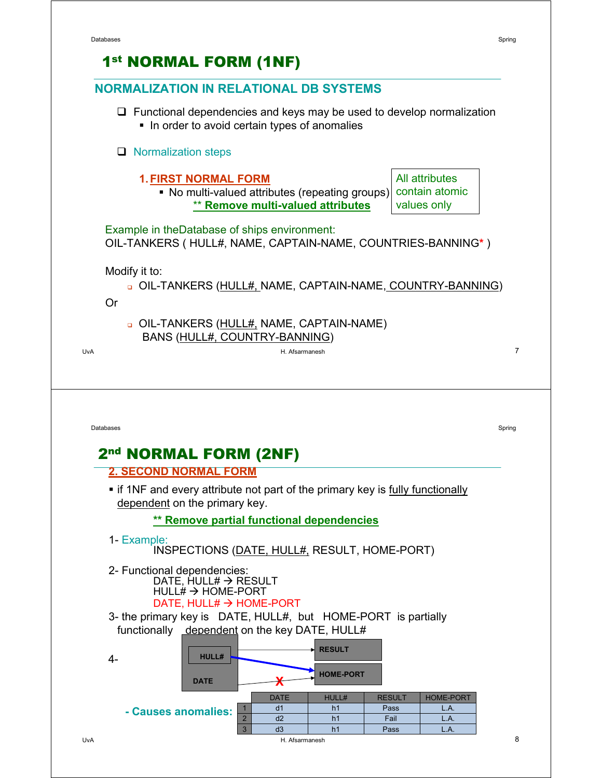#### UvA H. Afsarmanesh **NORMALIZATION IN RELATIONAL DB SYSTEMS**  $\Box$  Functional dependencies and keys may be used to develop normalization In order to avoid certain types of anomalies  $\Box$  Normalization steps **1. FIRST NORMAL FORM** • No multi-valued attributes (repeating groups) \*\* **Remove multi-valued attributes** 1st NORMAL FORM (1NF) Example in theDatabase of ships environment: OIL-TANKERS ( HULL#, NAME, CAPTAIN-NAME, COUNTRIES-BANNING**\*** ) Modify it to: OIL-TANKERS (HULL#, NAME, CAPTAIN-NAME, COUNTRY-BANNING) Or OIL-TANKERS (HULL#, NAME, CAPTAIN-NAME) BANS (HULL#, COUNTRY-BANNING) All attributes contain atomic values only 7 Databases Spring in the contract of the contract of the contract of the contract of the contract of the contract of the contract of the contract of the contract of the contract of the contract of the contract of the contra **2. SECOND NORMAL FORM** • if 1NF and every attribute not part of the primary key is fully functionally dependent on the primary key. **\*\* Remove partial functional dependencies** 1- Example: INSPECTIONS (DATE, HULL#, RESULT, HOME-PORT) 2- Functional dependencies:  $\overline{DATE}$ , HULL#  $\rightarrow$  RESULT HULL# → HOME-PORT DATE, HULL# → HOME-PORT 3- the primary key is DATE, HULL#, but HOME-PORT is partially functionally dependent on the key DATE, HULL# 2nd NORMAL FORM (2NF) **DATE HOME-PORT HULL# RESULT X** 4- DATE HULL# RESULT HOME-PORT d1 h1 Pass L.A. d2 h1 Fail L.A. 1  $\overline{2}$ 3 d3 h1 Pass L.A. **- Causes anomalies:**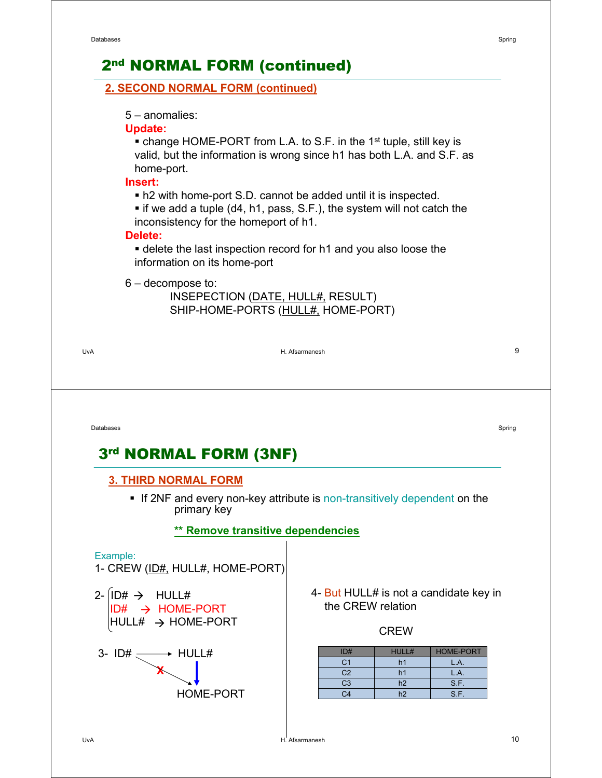## 2nd NORMAL FORM (continued)

#### **2. SECOND NORMAL FORM (continued)**

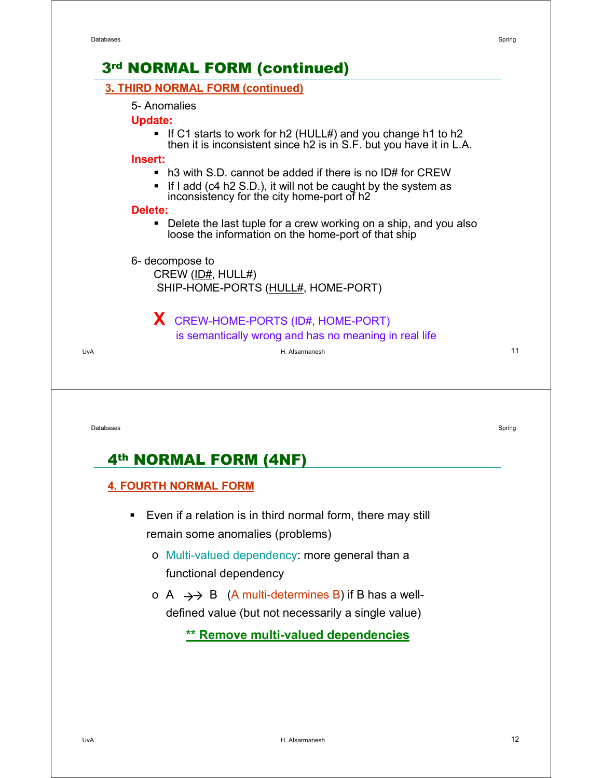

- Even if a relation is in third normal form, there may still remain some anomalies (problems)
	- o Multi-valued dependency: more general than a functional dependency
	- o A  $\rightarrow$  B (A multi-determines B) if B has a welldefined value (but not necessarily a single value)

**\*\* Remove multi-valued dependencies**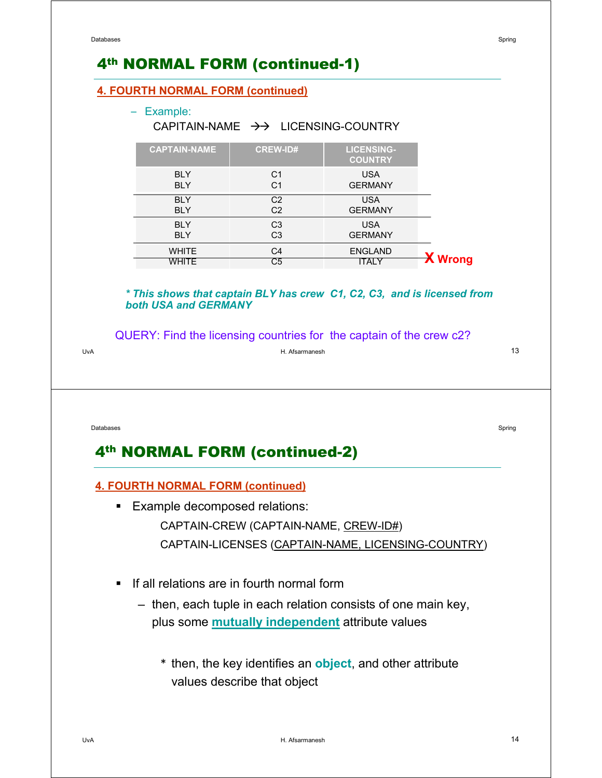#### UvA H. Afsarmanesh 4th NORMAL FORM (continued-1) **4. FOURTH NORMAL FORM (continued)** – Example: CAPITAIN-NAME  $\rightarrow$  LICENSING-COUNTRY *\* This shows that captain BLY has crew C1, C2, C3, and is licensed from both USA and GERMANY* QUERY: Find the licensing countries for the captain of the crew c2? **CAPTAIN-NAME CREW-ID# LICENSING-COUNTRY** BLY BLY  $C<sub>1</sub>$ C1 USA GERMANY **BLY** BLY C<sub>2</sub> C2 USA GERMANY BLY **BLY** C3 C3 USA GERMANY **WHITE WHITE**  $C<sub>4</sub>$  $\overline{C5}$ ENGLAND ITALY **X Wrong** 13 Databases Spring in the contract of the contract of the contract of the contract of the contract of the contract of the contract of the contract of the contract of the contract of the contract of the contract of the contra 4th NORMAL FORM (continued-2) **4. FOURTH NORMAL FORM (continued) Example decomposed relations:** CAPTAIN-CREW (CAPTAIN-NAME, CREW-ID#) CAPTAIN-LICENSES (CAPTAIN-NAME, LICENSING-COUNTRY) **If all relations are in fourth normal form** – then, each tuple in each relation consists of one main key, plus some **mutually independent** attribute values \* then, the key identifies an **object**, and other attribute values describe that object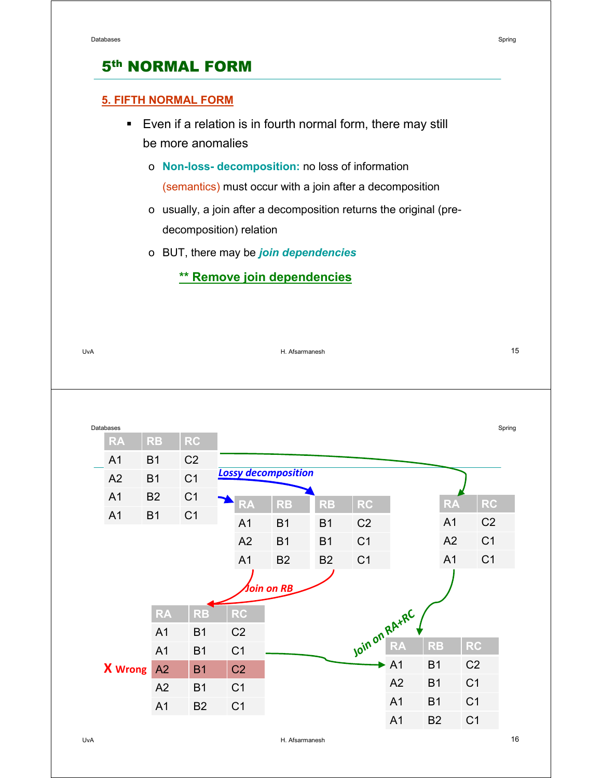#### **5. FIFTH NORMAL FORM**

- Even if a relation is in fourth normal form, there may still be more anomalies
	- o **Non-loss- decomposition:** no loss of information (semantics) must occur with a join after a decomposition
	- o usually, a join after a decomposition returns the original (predecomposition) relation
	- o BUT, there may be *join dependencies*

### **\*\* Remove join dependencies**

| UvA       |                | H. Afsarmanesh |                |                          |                |                            |           |                |    | 15             |                |        |
|-----------|----------------|----------------|----------------|--------------------------|----------------|----------------------------|-----------|----------------|----|----------------|----------------|--------|
|           |                |                |                |                          |                |                            |           |                |    |                |                |        |
|           |                |                |                |                          |                |                            |           |                |    |                |                |        |
| Databases |                |                |                |                          |                |                            |           |                |    |                |                | Spring |
|           | <b>RA</b>      | <b>RB</b>      | <b>RC</b>      |                          |                |                            |           |                |    |                |                |        |
|           | A <sub>1</sub> | B <sub>1</sub> | C <sub>2</sub> |                          |                |                            |           |                |    |                |                |        |
|           | A2             | <b>B1</b>      | C <sub>1</sub> |                          |                | <b>Lossy decomposition</b> |           |                |    |                |                |        |
|           | A1             | <b>B2</b>      | C <sub>1</sub> |                          | <b>RA</b>      | <b>RB</b>                  | <b>RB</b> | <b>RC</b>      |    | <b>RA</b>      | <b>RC</b>      |        |
|           | A1             | <b>B1</b>      | C <sub>1</sub> |                          | A <sub>1</sub> | <b>B1</b>                  | <b>B1</b> | C <sub>2</sub> |    | A <sub>1</sub> | C <sub>2</sub> |        |
|           |                |                |                |                          | A2             | <b>B1</b>                  | <b>B1</b> | C <sub>1</sub> |    | A2             | C <sub>1</sub> |        |
|           |                |                |                |                          | A1             | <b>B2</b>                  | <b>B2</b> | C <sub>1</sub> |    | A1             | C <sub>1</sub> |        |
|           |                |                |                | <i><b>Join on RB</b></i> |                |                            |           |                |    |                |                |        |
|           |                | <b>RA</b>      | <b>RB</b>      |                          | <b>RC</b>      |                            |           | Join on RA+RC, |    |                |                |        |
|           |                | A1             | B <sub>1</sub> |                          | C <sub>2</sub> |                            |           |                |    |                |                |        |
|           |                | A1             | <b>B1</b>      |                          | C <sub>1</sub> |                            |           |                |    | <b>RB</b>      | RC             |        |
|           | <b>X</b> Wrong | A2             | <b>B1</b>      |                          | C <sub>2</sub> |                            |           | ▶              | A1 | <b>B1</b>      | C <sub>2</sub> |        |
|           |                | A2             | <b>B1</b>      |                          | C <sub>1</sub> |                            |           |                | A2 | <b>B1</b>      | C <sub>1</sub> |        |
|           |                | A1             | <b>B2</b>      |                          | C <sub>1</sub> |                            |           |                | A1 | <b>B1</b>      | C <sub>1</sub> |        |
|           |                |                |                |                          |                |                            |           |                | A1 | <b>B2</b>      | C <sub>1</sub> |        |